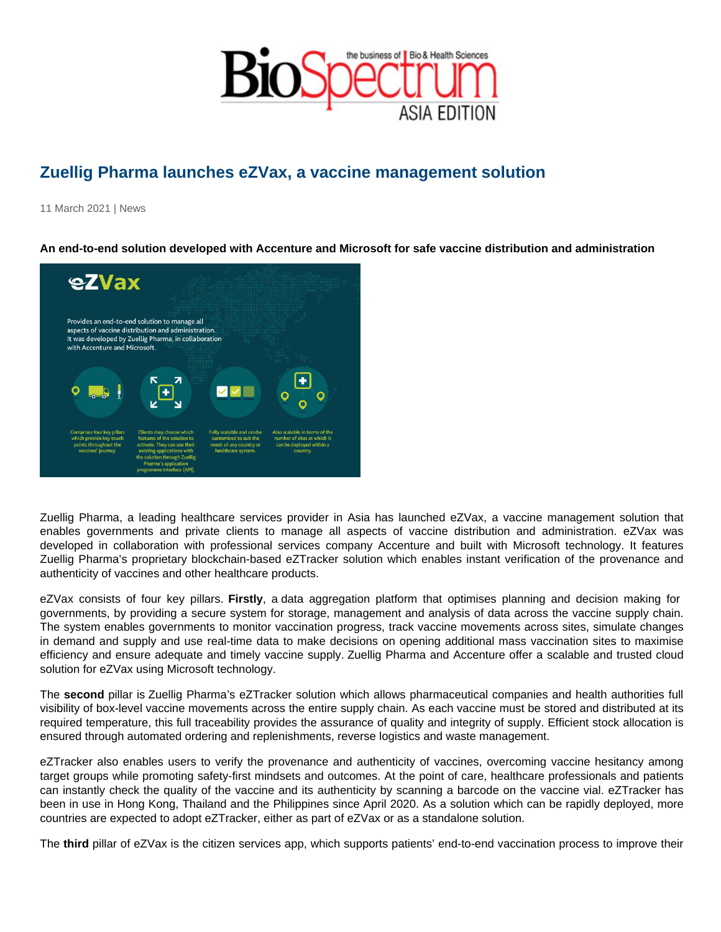## Zuellig Pharma launches eZVax, a vaccine management solution

11 March 2021 | News

An end-to-end solution developed with Accenture and Microsoft for safe vaccine distribution and administration

Zuellig Pharma, a leading healthcare services provider in Asia has launched eZVax, a vaccine management solution that enables governments and private clients to manage all aspects of vaccine distribution and administration. eZVax was developed in collaboration with professional services company Accenture and built with Microsoft technology. It features Zuellig Pharma's proprietary blockchain-based eZTracker solution which enables instant verification of the provenance and authenticity of vaccines and other healthcare products.

eZVax consists of four key pillars. Firstly , a data aggregation platform that optimises planning and decision making for governments, by providing a secure system for storage, management and analysis of data across the vaccine supply chain. The system enables governments to monitor vaccination progress, track vaccine movements across sites, simulate changes in demand and supply and use real-time data to make decisions on opening additional mass vaccination sites to maximise efficiency and ensure adequate and timely vaccine supply. Zuellig Pharma and Accenture offer a scalable and trusted cloud solution for eZVax using Microsoft technology.

The second pillar is Zuellig Pharma's eZTracker solution which allows pharmaceutical companies and health authorities full visibility of box-level vaccine movements across the entire supply chain. As each vaccine must be stored and distributed at its required temperature, this full traceability provides the assurance of quality and integrity of supply. Efficient stock allocation is ensured through automated ordering and replenishments, reverse logistics and waste management.

eZTracker also enables users to verify the provenance and authenticity of vaccines, overcoming vaccine hesitancy among target groups while promoting safety-first mindsets and outcomes. At the point of care, healthcare professionals and patients can instantly check the quality of the vaccine and its authenticity by scanning a barcode on the vaccine vial. eZTracker has been in use in Hong Kong, Thailand and the Philippines since April 2020. As a solution which can be rapidly deployed, more countries are expected to adopt eZTracker, either as part of eZVax or as a standalone solution.

The third pillar of eZVax is the citizen services app, which supports patients' end-to-end vaccination process to improve their